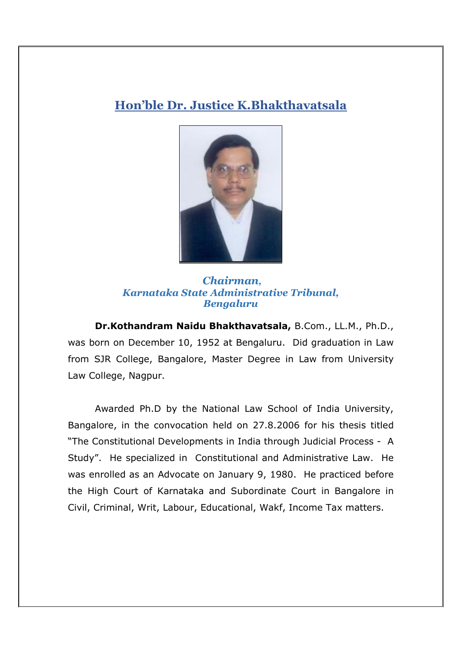## **Hon'ble Dr. Justice K.Bhakthavatsala**



 *Chairman, Karnataka State Administrative Tribunal, Bengaluru*

**Dr.Kothandram Naidu Bhakthavatsala,** B.Com., LL.M., Ph.D., was born on December 10, 1952 at Bengaluru. Did graduation in Law from SJR College, Bangalore, Master Degree in Law from University Law College, Nagpur.

 Awarded Ph.D by the National Law School of India University, Bangalore, in the convocation held on 27.8.2006 for his thesis titled "The Constitutional Developments in India through Judicial Process - A Study". He specialized in Constitutional and Administrative Law. He was enrolled as an Advocate on January 9, 1980. He practiced before the High Court of Karnataka and Subordinate Court in Bangalore in Civil, Criminal, Writ, Labour, Educational, Wakf, Income Tax matters.